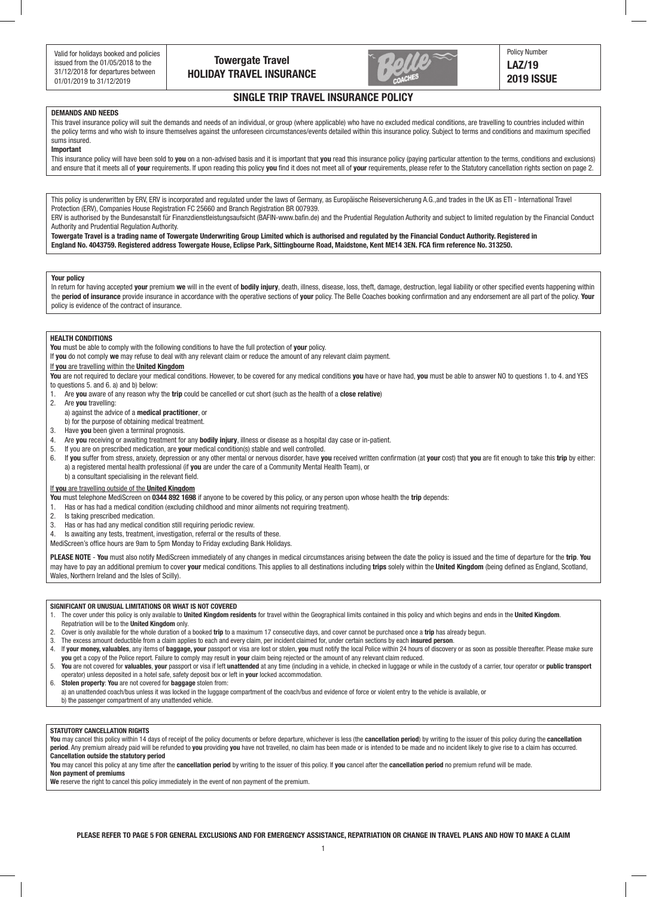



# **SINGLE TRIP TRAVEL INSURANCE POLICY**

# **DEMANDS AND NEEDS**

This travel insurance policy will suit the demands and needs of an individual, or group (where applicable) who have no excluded medical conditions, are travelling to countries included within the policy terms and who wish to insure themselves against the unforeseen circumstances/events detailed within this insurance policy. Subject to terms and conditions and maximum specified sums insured.

## **Important**

This insurance policy will have been sold to **you** on a non-advised basis and it is important that **you** read this insurance policy (paying particular attention to the terms, conditions and exclusions) and ensure that it meets all of **your** requirements. If upon reading this policy **you** find it does not meet all of **your** requirements, please refer to the Statutory cancellation rights section on page 2.

This policy is underwritten by ERV, ERV is incorporated and regulated under the laws of Germany, as Europäische Reiseversicherung A.G.,and trades in the UK as ETI - International Travel Protection (ERV), Companies House Registration FC 25660 and Branch Registration BR 007939.

ERV is authorised by the Bundesanstalt für Finanzdienstleistungsaufsicht (BAFIN-www.bafin.de) and the Prudential Regulation Authority and subject to limited regulation by the Financial Conduct Authority and Prudential Regulation Authority.

**Towergate Travel is a trading name of Towergate Underwriting Group Limited which is authorised and regulated by the Financial Conduct Authority. Registered in England No. 4043759. Registered address Towergate House, Eclipse Park, Sittingbourne Road, Maidstone, Kent ME14 3EN. FCA firm reference No. 313250.**

### **Your policy**

In return for having accepted **your** premium **we** will in the event of **bodily injury**, death, illness, disease, loss, theft, damage, destruction, legal liability or other specified events happening within the **period of insurance** provide insurance in accordance with the operative sections of **your** policy. The Belle Coaches booking confirmation and any endorsement are all part of the policy. **Your** policy is evidence of the contract of insurance.

## **HEALTH CONDITIONS**

**You** must be able to comply with the following conditions to have the full protection of **your** policy.

If **you** do not comply **we** may refuse to deal with any relevant claim or reduce the amount of any relevant claim payment.

### If **you** are travelling within the **United Kingdom**

**You** are not required to declare your medical conditions. However, to be covered for any medical conditions **you** have or have had, **you** must be able to answer NO to questions 1. to 4. and YES to questions 5. and 6. a) and b) below:

- 1. Are **you** aware of any reason why the **trip** could be cancelled or cut short (such as the health of a **close relative**)
- 2. Are **you** travelling:

a) against the advice of a **medical practitioner**, or

- b) for the purpose of obtaining medical treatment.<br>3. Have you been given a terminal prognosis.
- Have you been given a terminal prognosis.
- 4. Are **you** receiving or awaiting treatment for any **bodily injury**, illness or disease as a hospital day case or in-patient.
- 5. If you are on prescribed medication, are **your** medical condition(s) stable and well controlled.
- 6. If you suffer from stress, anxiety, depression or any other mental or nervous disorder, have you received written confirmation (at your cost) that you are fit enough to take this trip by either: a) a registered mental health professional (if **you** are under the care of a Community Mental Health Team), or b) a consultant specialising in the relevant field.

#### If **you** are travelling outside of the **United Kingdom**

**You** must telephone MediScreen on **0344 892 1698** if anyone to be covered by this policy, or any person upon whose health the **trip** depends:

- 1. Has or has had a medical condition (excluding childhood and minor ailments not requiring treatment).
- 2. Is taking prescribed medication.
- 3. Has or has had any medical condition still requiring periodic review.
- 4. Is awaiting any tests, treatment, investigation, referral or the results of these.

MediScreen's office hours are 9am to 5pm Monday to Friday excluding Bank Holidays.

**PLEASE NOTE** - **You** must also notify MediScreen immediately of any changes in medical circumstances arising between the date the policy is issued and the time of departure for the **trip**. **You** may have to pay an additional premium to cover **your** medical conditions. This applies to all destinations including **trips** solely within the **United Kingdom** (being defined as England, Scotland, Wales, Northern Ireland and the Isles of Scilly).

#### **SIGNIFICANT OR UNUSUAL LIMITATIONS OR WHAT IS NOT COVERED**

- 1. The cover under this policy is only available to **United Kingdom residents** for travel within the Geographical limits contained in this policy and which begins and ends in the **United Kingdom**. Repatriation will be to the **United Kingdom** only.
- 2. Cover is only available for the whole duration of a booked **trip** to a maximum 17 consecutive days, and cover cannot be purchased once a **trip** has already begun.
- 3. The excess amount deductible from a claim applies to each and every claim, per incident claimed for, under certain sections by each **insured person**.
- 4. If your money, valuables, any items of baggage, your passport or visa are lost or stolen, you must notify the local Police within 24 hours of discovery or as soon as possible thereafter. Please make sure **you** get a copy of the Police report. Failure to comply may result in **your** claim being rejected or the amount of any relevant claim reduced.
- 5. You are not covered for valuables, your passport or visa if left unattended at any time (including in a vehicle, in checked in luggage or while in the custody of a carrier, tour operator or public transport operator) unless deposited in a hotel safe, safety deposit box or left in **your** locked accommodation.

6. **Stolen property**: **You** are not covered for **baggage** stolen from:

- a) an unattended coach/bus unless it was locked in the luggage compartment of the coach/bus and evidence of force or violent entry to the vehicle is available, or
- b) the passenger compartment of any unattended vehicle.

#### **STATUTORY CANCELLATION RIGHTS**

You may cancel this policy within 14 days of receipt of the policy documents or before departure, whichever is less (the cancellation period) by writing to the issuer of this policy during the cancellation period. Any premium already paid will be refunded to you providing you have not travelled, no claim has been made or is intended to be made and no incident likely to give rise to a claim has occurred. **Cancellation outside the statutory period**

**You** may cancel this policy at any time after the **cancellation period** by writing to the issuer of this policy. If **you** cancel after the **cancellation period** no premium refund will be made.

**Non payment of premiums**

**We** reserve the right to cancel this policy immediately in the event of non payment of the premium.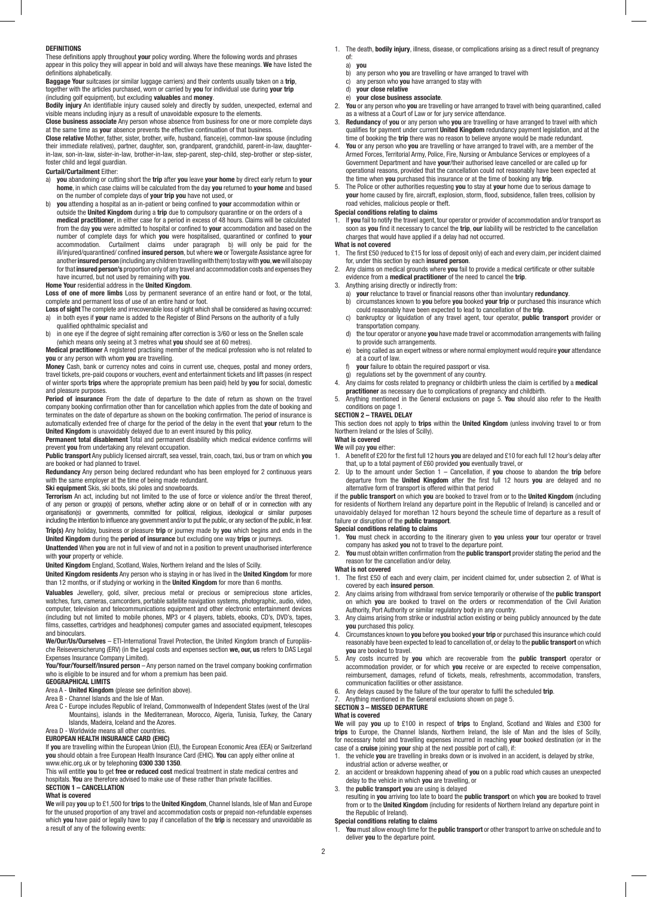#### **DEFINITIONS**

These definitions apply throughout **your** policy wording. Where the following words and phrases appear in this policy they will appear in bold and will always have these meanings. **We** have listed the definitions alphabetically.

**Baggage Your** suitcases (or similar luggage carriers) and their contents usually taken on a **trip**, together with the articles purchased, worn or carried by **you** for individual use during **your trip** (including golf equipment), but excluding **valuables** and **money**.

**Bodily injury** An identifiable injury caused solely and directly by sudden, unexpected, external and visible means including injury as a result of unavoidable exposure to the elements.

**Close business associate** Any person whose absence from business for one or more complete days at the same time as **you**r absence prevents the effective continuation of that business.

**Close relative** Mother, father, sister, brother, wife, husband, fiance(e), common-law spouse (including their immediate relatives), partner, daughter, son, grandparent, grandchild, parent-in-law, daughterin-law, son-in-law, sister-in-law, brother-in-law, step-parent, step-child, step-brother or step-sister, foster child and legal guardian.

## **Curtail/Curtailment** Either:

- a) **you** abandoning or cutting short the **trip** after **you** leave **your home** by direct early return to **your home**, in which case claims will be calculated from the day **you** returned to **your home** and based on the number of complete days of **your trip you** have not used, or
- b) **you** attending a hospital as an in-patient or being confined to **your** accommodation within or outside the **United Kingdom** during a **trip** due to compulsory quarantine or on the orders of a **medical practitioner**, in either case for a period in excess of 48 hours. Claims will be calculated from the day **you** were admitted to hospital or confined to **your** accommodation and based on the number of complete days for which **you** were hospitalised, quarantined or confined to **your** accommodation. Curtailment claims under paragraph b) will only be paid for the ill/injured/quarantined/ confined **insured person**, but where **we** or Towergate Assistance agree for another **insured person** (including any children travelling with them) to stay with **you**, **we** will also pay for that **insured person's** proportion only of any travel and accommodation costs and expenses they have incurred, but not used by remaining with **you**.

## **Home Your** residential address in the **United Kingdom**.

**Loss of one of more limbs** Loss by permanent severance of an entire hand or foot, or the total, complete and permanent loss of use of an entire hand or foot.

**Loss of sight** The complete and irrecoverable loss of sight which shall be considered as having occurred:<br>a) in both eves if **vour** name is added to the Register of Blind Persons on the authority of a fully a) in both eyes if **your** name is added to the Register of Blind Persons on the authority of a fully

- qualified ophthalmic specialist and b) in one eye if the degree of sight remaining after correction is 3/60 or less on the Snellen scale
- (which means only seeing at 3 metres what **you** should see at 60 metres).

**Medical practitioner** A registered practising member of the medical profession who is not related to **you** or any person with whom **you** are travelling.

**Money** Cash, bank or currency notes and coins in current use, cheques, postal and money orders, travel tickets, pre-paid coupons or vouchers, event and entertainment tickets and lift passes (in respect of winter sports **trips** where the appropriate premium has been paid) held by **you** for social, domestic and pleasure purposes.

**Period of insurance** From the date of departure to the date of return as shown on the travel company booking confirmation other than for cancellation which applies from the date of booking and terminates on the date of departure as shown on the booking confirmation. The period of insurance is automatically extended free of charge for the period of the delay in the event that **your** return to the **United Kingdom** is unavoidably delayed due to an event insured by this policy.

**Permanent total disablement** Total and permanent disability which medical evidence confirms will prevent **you** from undertaking any relevant occupation.

**Public transport** Any publicly licensed aircraft, sea vessel, train, coach, taxi, bus or tram on which **you** are booked or had planned to travel.

**Redundancy** Any person being declared redundant who has been employed for 2 continuous years with the same employer at the time of being made redundant.

**Ski equipment** Skis, ski boots, ski poles and snowboards.

#### **Terrorism** An act, including but not limited to the use of force or violence and/or the threat thereof, of any person or group(s) of persons, whether acting alone or on behalf of or in connection with any organisation(s) or governments, committed for political, religious, ideological or similar purposes including the intention to influence any government and/or to put the public, or any section of the public, in fear. **Trip(s)** Any holiday, business or pleasure **trip** or journey made by **you** which begins and ends in the

**United Kingdom** during the **period of insurance** but excluding one way **trips** or journeys. **Unattended** When **you** are not in full view of and not in a position to prevent unauthorised interference with **your** property or vehicle.

**United Kingdom** England, Scotland, Wales, Northern Ireland and the Isles of Scilly.

**United Kingdom residents** Any person who is staying in or has lived in the **United Kingdom** for more than 12 months, or if studying or working in the **United Kingdom** for more than 6 months.

**Valuables** Jewellery, gold, silver, precious metal or precious or semiprecious stone articles, watches, furs, cameras, camcorders, portable satellite navigation systems, photographic, audio, video, computer, television and telecommunications equipment and other electronic entertainment devices (including but not limited to mobile phones, MP3 or 4 players, tablets, ebooks, CD's, DVD's, tapes, films, cassettes, cartridges and headphones) computer games and associated equipment, telescopes and binoculars.

#### **We/Our/Us/Ourselves** – ETI-International Travel Protection, the United Kingdom branch of Europäische Reiseversicherung (ERV) (in the Legal costs and expenses section **we, our, us** refers to DAS Legal Expenses Insurance Company Limited).

**You/Your/Yourself/Insured person** – Any person named on the travel company booking confirmation who is eligible to be insured and for whom a premium has been paid.

# **GEOGRAPHICAL LIMITS**

Area A - **United Kingdom** (please see definition above).

- Area B Channel Islands and the Isle of Man.
- Area C Europe includes Republic of Ireland, Commonwealth of Independent States (west of the Ural Mountains), islands in the Mediterranean, Morocco, Algeria, Tunisia, Turkey, the Canary Islands, Madeira, Iceland and the Azores.

#### Area D - Worldwide means all other countries. **EUROPEAN HEALTH INSURANCE CARD (EHIC)**

If **you** are travelling within the European Union (EU), the European Economic Area (EEA) or Switzerland **you** should obtain a free European Health Insurance Card (EHIC). **You** can apply either online at www.ehic.org.uk or by telephoning **0300 330 1350**.

This will entitle **you** to get **free or reduced cost** medical treatment in state medical centres and hospitals. **You** are therefore advised to make use of these rather than private facilities.

# **SECTION 1 – CANCELLATION**

**What is covered**

**We** will pay **you** up to £1,500 for **trips** to the **United Kingdom**, Channel Islands, Isle of Man and Europe for the unused proportion of any travel and accommodation costs or prepaid non-refundable expenses which **you** have paid or legally have to pay if cancellation of the **trip** is necessary and unavoidable as a result of any of the following events:

- 1. The death, **bodily injury**, illness, disease, or complications arising as a direct result of pregnancy of:
	- a) **you**
	- b) any person who **you** are travelling or have arranged to travel with c) any person who **you** have arranged to stay with
	- c) any person who **you** have arranged to stay with<br>d) **vour close relative** d) **your close relative**
	- e) **your close business associate**.
- 2. **You** or any person who **you** are travelling or have arranged to travel with being quarantined, called
- as a witness at a Court of Law or for jury service attendance. 3. **Redundancy** of **you** or any person who **you** are travelling or have arranged to travel with which qualifies for payment under current **United Kingdom** redundancy payment legislation, and at the
- time of booking the **trip** there was no reason to believe anyone would be made redundant. You or any person who you are travelling or have arranged to travel with, are a member of the Armed Forces, Territorial Army, Police, Fire, Nursing or Ambulance Services or employees of a
- Government Department and have **your**/their authorised leave cancelled or are called up for operational reasons, provided that the cancellation could not reasonably have been expected at the time when **you** purchased this insurance or at the time of booking any **trip**.
- 5. The Police or other authorities requesting **you** to stay at **your** home due to serious damage to **your** home caused by fire, aircraft, explosion, storm, flood, subsidence, fallen trees, collision by road vehicles, malicious people or theft.

# **Special conditions relating to claims**

1. If **you** fail to notify the travel agent, tour operator or provider of accommodation and/or transport as soon as **you** find it necessary to cancel the **trip**, **our** liability will be restricted to the cancellation charges that would have applied if a delay had not occurred.

# **What is not covered**

- 1. The first £50 (reduced to £15 for loss of deposit only) of each and every claim, per incident claimed for, under this section by each **insured person**.
- 2. Any claims on medical grounds where **you** fail to provide a medical certificate or other suitable evidence from a **medical practitioner** of the need to cancel the **trip**.
- 3. Anything arising directly or indirectly from:
	- a) **your** reluctance to travel or financial reasons other than involuntary **redundancy**.
- b) circumstances known to **you** before **you** booked **your trip** or purchased this insurance which could reasonably have been expected to lead to cancellation of the **trip**.
	- c) bankruptcy or liquidation of any travel agent, tour operator, **public transport** provider or transportation company.
	- d) the tour operator or anyone **you** have made travel or accommodation arrangements with failing to provide such arrangements.
	- e) being called as an expert witness or where normal employment would require **your** attendance at a court of law.<br>f) **vour** failure to ob
	- **your** failure to obtain the required passport or visa.
- g) regulations set by the government of any country.
- 4. Any claims for costs related to pregnancy or childbirth unless the claim is certified by a **medical practitioner** as necessary due to complications of pregnancy and childbirth.
- 5. Anything mentioned in the General exclusions on page 5. **You** should also refer to the Health conditions on page 1.

# **SECTION 2 – TRAVEL DELAY**

This section does not apply to **trips** within the **United Kingdom** (unless involving travel to or from Northern Ireland or the Isles of Scilly).

#### **What is covered We** will pay **you** either:

- 1. A benefit of £20 for the first full 12 hours **you** are delayed and £10 for each full 12 hour's delay after that, up to a total payment of £60 provided **you** eventually travel, or
- 2. Up to the amount under Section 1 Cancellation, if **you** choose to abandon the **trip** before departure from the **United Kingdom** after the first full 12 hours **you** are delayed and no alternative form of transport is offered within that period

if the **public transport** on which **you** are booked to travel from or to the **United Kingdom** (including for residents of Northern Ireland any departure point in the Republic of Ireland) is cancelled and or unavoidably delayed for morethan 12 hours beyond the scheule time of departure as a result of failure or disruption of the **public transport**.

# **Special conditions relating to claims**<br>**1.** You must check in according to the

- 1. **You** must check in according to the itinerary given to **you** unless **your** tour operator or travel company has asked **you** not to travel to the departure point.
- 2. **You** must obtain written confirmation from the **public transport** provider stating the period and the reason for the cancellation and/or delay.

# **What is not covered**

- 1. The first £50 of each and every claim, per incident claimed for, under subsection 2. of What is covered by each **insured person**.
- 2. Any claims arising from withdrawal from service temporarily or otherwise of the **public transport** on which **you** are booked to travel on the orders or recommendation of the Civil Aviation Authority, Port Authority or similar regulatory body in any country.
- 3. Any claims arising from strike or industrial action existing or being publicly announced by the date **you** purchased this policy.
- 4. Circumstances known to **you** before **you** booked **your trip** or purchased this insurance which could reasonably have been expected to lead to cancellation of, or delay to the **public transport** on which **you** are booked to travel.
- 5. Any costs incurred by **you** which are recoverable from the **public transport** operator or accommodation provider, or for which **you** receive or are expected to receive compensation, reimbursement, damages, refund of tickets, meals, refreshments, accommodation, transfers, communication facilities or other assistance.
- 6. Any delays caused by the failure of the tour operator to fulfil the scheduled **trip**.
- 7. Anything mentioned in the General exclusions shown on page 5.

#### **SECTION 3 – MISSED DEPARTURE What is covered**

**We** will pay **you** up to £100 in respect of **trips** to England, Scotland and Wales and £300 for **trips** to Europe, the Channel Islands, Northern Ireland, the Isle of Man and the Isles of Scilly, for necessary hotel and travelling expenses incurred in reaching **your** booked destination (or in the

- case of a **cruise** joining **your** ship at the next possible port of call), if: 1. the vehicle **you** are travelling in breaks down or is involved in an accident, is delayed by strike, industrial action or adverse weather, or
- 2. an accident or breakdown happening ahead of **you** on a public road which causes an unexpected delay to the vehicle in which **you** are travelling, or
- 3. the **public transport you** are using is delayed resulting in **you** arriving too late to board the **public transport** on which **you** are booked to travel from or to the **United Kingdom** (including for residents of Northern Ireland any departure point in the Republic of Ireland).

# **Special conditions relating to claims**

1. **You** must allow enough time for the **public transport** or other transport to arrive on schedule and to deliver **you** to the departure point.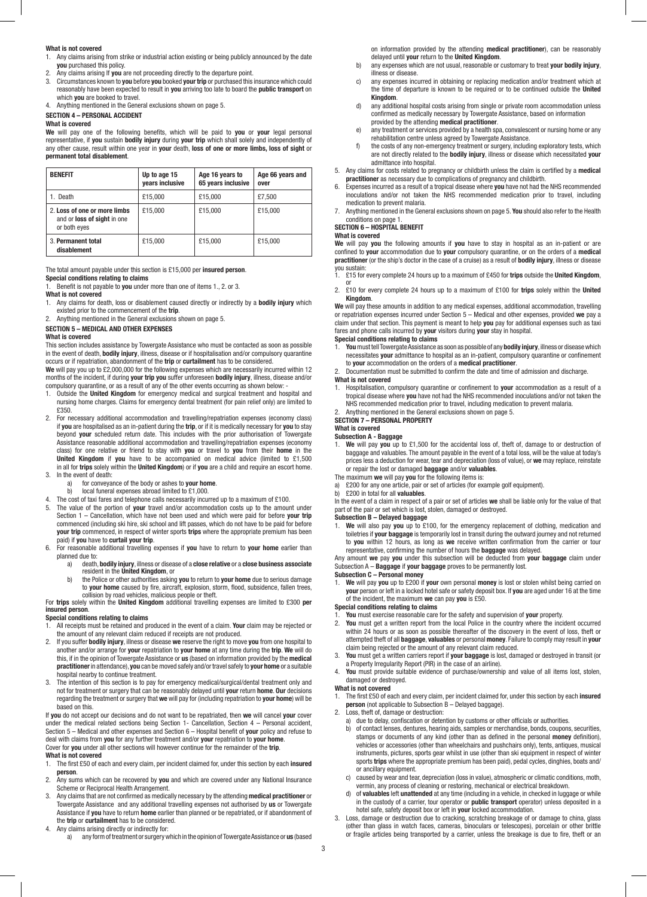### **What is not covered**

1. Any claims arising from strike or industrial action existing or being publicly announced by the date **you** purchased this policy.

- 2. Any claims arising If **you** are not proceeding directly to the departure point.
- 3. Circumstances known to **you** before **you** booked **your trip** or purchased this insurance which could reasonably have been expected to result in **you** arriving too late to board the **public transport** on which **you** are booked to travel.
- 4. Anything mentioned in the General exclusions shown on page 5.

# **SECTION 4 – PERSONAL ACCIDENT**

#### **What is covered**

**We** will pay one of the following benefits, which will be paid to **you** or **your** legal personal representative, if **you** sustain **bodily injury** during **your trip** which shall solely and independently of any other cause, result within one year in **your** death, **loss of one or more limbs, loss of sight** or **permanent total disablement**.

| <b>BENEFIT</b>                                                                     | Up to age 15<br>years inclusive | Age 16 years to<br>65 years inclusive | Age 66 years and<br>over |
|------------------------------------------------------------------------------------|---------------------------------|---------------------------------------|--------------------------|
| 1. Death                                                                           | £15,000                         | £15.000                               | £7.500                   |
| 2. Loss of one or more limbs<br>and or <b>loss of sight</b> in one<br>or both eyes | £15.000                         | £15,000                               | £15.000                  |
| 3. Permanent total<br>disablement                                                  | £15,000                         | £15.000                               | £15,000                  |

### The total amount payable under this section is £15,000 per **insured person**.

**Special conditions relating to claims**

1. Benefit is not payable to **you** under more than one of items 1., 2. or 3.

# **What is not covered**

- 1. Any claims for death, loss or disablement caused directly or indirectly by a **bodily injury** which existed prior to the commencement of the **trip**.
- 2. Anything mentioned in the General exclusions shown on page 5.

# **SECTION 5 – MEDICAL AND OTHER EXPENSES**

**What is covered**

This section includes assistance by Towergate Assistance who must be contacted as soon as possible in the event of death, **bodily injury**, illness, disease or if hospitalisation and/or compulsory quarantine occurs or if repatriation, abandonment of the **trip** or **curtailment** has to be considered.

**We** will pay you up to £2,000,000 for the following expenses which are necessarily incurred within 12 months of the incident, if during **your trip you** suffer unforeseen **bodily injury**, illness, disease and/or compulsory quarantine, or as a result of any of the other events occurring as shown below: -

- 1. Outside the **United Kingdom** for emergency medical and surgical treatment and hospital and nursing home charges. Claims for emergency dental treatment (for pain relief only) are limited to £350.
- 2. For necessary additional accommodation and travelling/repatriation expenses (economy class) if **you** are hospitalised as an in-patient during the **trip**, or if it is medically necessary for **you** to stay beyond **your** scheduled return date. This includes with the prior authorisation of Towergate Assistance reasonable additional accommodation and travelling/repatriation expenses (economy class) for one relative or friend to stay with **you** or travel to **you** from their **home** in the **United Kingdom** if **you** have to be accompanied on medical advice (limited to £1,500 in all for **trips** solely within the **United Kingdom**) or if **you** are a child and require an escort home. 3. In the event of death:
- - a) for conveyance of the body or ashes to **your home**.<br>b) local funeral expenses abroad limited to £1,000. local funeral expenses abroad limited to  $£1,000$ .
	-
- 4. The cost of taxi fares and telephone calls necessarily incurred up to a maximum of £100. 5. The value of the portion of **your** travel and/or accommodation costs up to the amount under Section 1 – Cancellation, which have not been used and which were paid for before **your trip** commenced (including ski hire, ski school and lift passes, which do not have to be paid for before **your trip** commenced, in respect of winter sports **trips** where the appropriate premium has been paid) if **you** have to **curtail your trip**.
- 6. For reasonable additional travelling expenses if **you** have to return to **your home** earlier than planned due to:
- a) death, **bodily injury**, illness or disease of a **close relative** or a **close business associate** resident in the **United Kingdom**, or
	- b) the Police or other authorities asking **you** to return to **your home** due to serious damage to **your home** caused by fire, aircraft, explosion, storm, flood, subsidence, fallen trees,

 collision by road vehicles, malicious people or theft. For **trips** solely within the **United Kingdom** additional travelling expenses are limited to £300 **per insured person**.

# **Special conditions relating to claims**

- 1. All receipts must be retained and produced in the event of a claim. **Your** claim may be rejected or the amount of any relevant claim reduced if receipts are not produced.
- 2. If you suffer **bodily injury**, illness or disease **we** reserve the right to move **you** from one hospital to another and/or arrange for **your** repatriation to **your home** at any time during the **trip**. **We** will do this, if in the opinion of Towergate Assistance or **us** (based on information provided by the **medical practitioner** in attendance), **you** can be moved safely and/or travel safely to **your home** or a suitable hospital nearby to continue treatment.
- 3. The intention of this section is to pay for emergency medical/surgical/dental treatment only and not for treatment or surgery that can be reasonably delayed until **your** return **home**. **Our** decisions regarding the treatment or surgery that **we** will pay for (including repatriation to **your home**) will be based on this.

If **you** do not accept our decisions and do not want to be repatriated, then **we** will cancel **your** cover under the medical related sections being Section 1- Cancellation, Section 4 – Personal accident, Section 5 – Medical and other expenses and Section 6 – Hospital benefit of **your** policy and refuse to deal with claims from **you** for any further treatment and/or **your** repatriation to **your home**. Cover for **you** under all other sections will however continue for the remainder of the **trip**. **What is not covered**

- 
- 1. The first £50 of each and every claim, per incident claimed for, under this section by each **insured person**.
- 2. Any sums which can be recovered by **you** and which are covered under any National Insurance Scheme or Reciprocal Health Arrangement.
- 3. Any claims that are not confirmed as medically necessary by the attending **medical practitioner** or Towergate Assistance and any additional travelling expenses not authorised by **us** or Towergate Assistance if **you** have to return **home** earlier than planned or be repatriated, or if abandonment of the **trip** or **curtailment** has to be considered.
- 4. Any claims arising directly or indirectly for:
	- a) any form of treatment or surgery which in the opinion of Towergate Assistance or **us** (based

 on information provided by the attending **medical practitioner**), can be reasonably delayed until **your** return to the **United Kingdom**.

- b) any expenses which are not usual, reasonable or customary to treat **your bodily injury**, illness or disease.<br>
c) any expenses inc
- any expenses incurred in obtaining or replacing medication and/or treatment which at the time of departure is known to be required or to be continued outside the **United**
- **Kingdom.**<br> **d)** any addition any additional hospital costs arising from single or private room accommodation unless confirmed as medically necessary by Towergate Assistance, based on information
- provided by the attending **medical practitioner**. any treatment or services provided by a health spa, convalescent or nursing home or any rehabilitation centre unless agreed by Towergate Assistance.
- f) the costs of any non-emergency treatment or surgery, including exploratory tests, which are not directly related to the **bodily injury**, illness or disease which necessitated **your** admittance into hospital.
- 5. Any claims for costs related to pregnancy or childbirth unless the claim is certified by a **medical practitioner** as necessary due to complications of pregnancy and childbirth.
- 6. Expenses incurred as a result of a tropical disease where **you** have not had the NHS recommended inoculations and/or not taken the NHS recommended medication prior to travel, including medication to prevent malaria.
- 7. Anything mentioned in the General exclusions shown on page 5. **You** should also refer to the Health conditions on page 1.

#### **SECTION 6 – HOSPITAL BENEFIT**

#### **What is covered**

**We** will pay **you** the following amounts if **you** have to stay in hospital as an in-patient or are confined to **your** accommodation due to **your** compulsory quarantine, or on the orders of a **medical practitioner** (or the ship's doctor in the case of a cruise) as a result of **bodily injury**, illness or disease

- you sustain:<br>1. £15 for every complete 24 hours up to a maximum of £450 for **trips** outside the **United Kingdom**,<br>or
- 2. £10 for every complete 24 hours up to a maximum of £100 for **trips** solely within the **United Kingdom**.

**We** will pay these amounts in addition to any medical expenses, additional accommodation, travelling or repatriation expenses incurred under Section 5 – Medical and other expenses, provided **we** pay a claim under that section. This payment is meant to help **you** pay for additional expenses such as taxi fares and phone calls incurred by **your** visitors during **your** stay in hospital.

# **Special conditions relating to claims**

- 1. **You** must tell Towergate Assistance as soon as possible of any **bodily injury**, illness or disease which necessitates **your** admittance to hospital as an in-patient, compulsory quarantine or confinement to **your** accommodation on the orders of a **medical practitioner**.
- 2. Documentation must be submitted to confirm the date and time of admission and discharge.

#### **What is not covered**

1. Hospitalisation, compulsory quarantine or confinement to **your** accommodation as a result of a tropical disease where **you** have not had the NHS recommended inoculations and/or not taken the NHS recommended medication prior to travel, including medication to prevent malaria.

2. Anything mentioned in the General exclusions shown on page 5.

**SECTION 7 – PERSONAL PROPERTY**

# **What is covered**

- **Subsection A Baggage**
- 1. **We** will pay **you** up to £1,500 for the accidental loss of, theft of, damage to or destruction of baggage and valuables. The amount payable in the event of a total loss, will be the value at today's prices less a deduction for wear, tear and depreciation (loss of value), or **we** may replace, reinstate or repair the lost or damaged **baggage** and/or **valuables**.
- The maximum **we** will pay **you** for the following items is:
- a) £200 for any one article, pair or set of articles (for example golf equipment).
- b) £200 in total for all **valuables**.

In the event of a claim in respect of a pair or set of articles **we** shall be liable only for the value of that part of the pair or set which is lost, stolen, damaged or destroyed.

# **Subsection B – Delayed baggage**<br>1 We will also nay you up to £

1. **We** will also pay **you** up to £100, for the emergency replacement of clothing, medication and toiletries if **your baggage** is temporarily lost in transit during the outward journey and not returned to **you** within 12 hours, as long as **we** receive written confirmation from the carrier or tour representative, confirming the number of hours the **baggage** was delayed.

Any amount **we** pay **you** under this subsection will be deducted from **your baggage** claim under Subsection A – **Baggage** if **your baggage** proves to be permanently lost.

# **Subsection C – Personal money**<br>**1.** We will pay you up to £200 if

1. **We** will pay **you** up to £200 if **your** own personal **money** is lost or stolen whilst being carried on **your** person or left in a locked hotel safe or safety deposit box. If **you** are aged under 16 at the time of the incident, the maximum **we** can pay **you** is £50.

#### **Special conditions relating to claims**

- 1. **You** must exercise reasonable care for the safety and supervision of **your** property.
- 2. **You** must get a written report from the local Police in the country where the incident occurred within 24 hours or as soon as possible thereafter of the discovery in the event of loss, theft or attempted theft of all **baggage**, **valuables** or personal **money**. Failure to comply may result in **your** claim being rejected or the amount of any relevant claim reduced.
- 3. **You** must get a written carriers report if **your baggage** is lost, damaged or destroyed in transit (or a Property Irregularity Report (PIR) in the case of an airline).
- 4. **You** must provide suitable evidence of purchase/ownership and value of all items lost, stolen, damaged or destroyed.

#### **What is not covered**

1. The first £50 of each and every claim, per incident claimed for, under this section by each **insured person** (not applicable to Subsection B – Delayed baggage).

- 2. Loss, theft of, damage or destruction:
	-
- a) due to delay, confiscation or detention by customs or other officials or authorities.<br>b) of contact lenses dentures hearing side consider the filtration of the contact lenses dentures b) of contact lenses, dentures, hearing aids, samples or merchandise, bonds, coupons, securities, stamps or documents of any kind (other than as defined in the personal **money** definition), vehicles or accessories (other than wheelchairs and pushchairs only), tents, antiques, musical instruments, pictures, sports gear whilst in use (other than ski equipment in respect of winter sports **trips** where the appropriate premium has been paid), pedal cycles, dinghies, boats and/ or ancillary equipment.
	- c) caused by wear and tear, depreciation (loss in value), atmospheric or climatic conditions, moth, vermin, any process of cleaning or restoring, mechanical or electrical breakdown.
- d) of **valuables** left **unattended** at any time (including in a vehicle, in checked in luggage or while in the custody of a carrier, tour operator or **public transport** operator) unless deposited in a hotel safe, safety deposit box or left in **your** locked accommodation.
- Loss, damage or destruction due to cracking, scratching breakage of or damage to china, glass (other than glass in watch faces, cameras, binoculars or telescopes), porcelain or other brittle or fragile articles being transported by a carrier, unless the breakage is due to fire, theft or an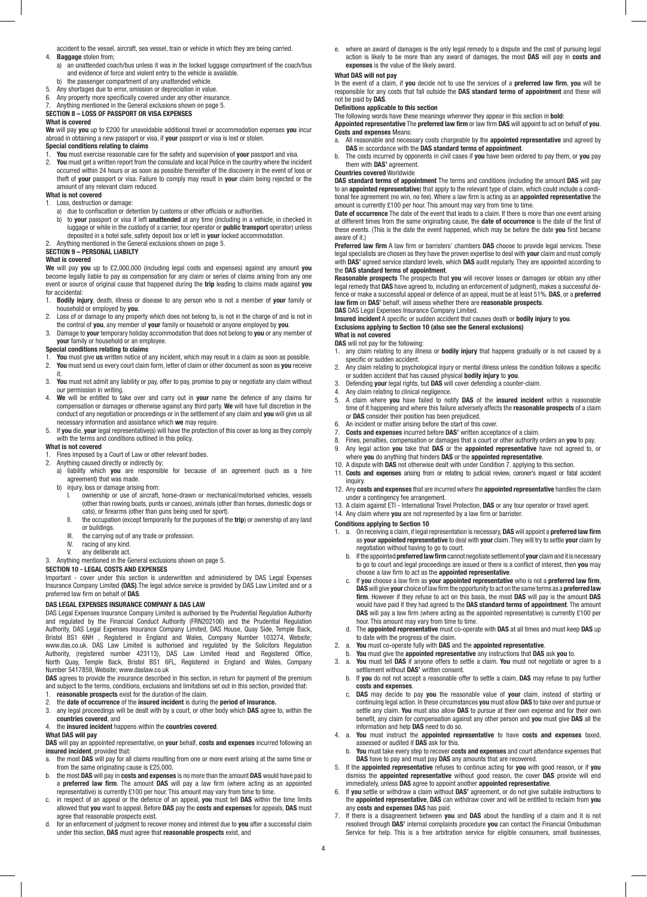accident to the vessel, aircraft, sea vessel, train or vehicle in which they are being carried. 4. **Baggage** stolen from;

- a) an unattended coach/bus unless it was in the locked luggage compartment of the coach/bus and evidence of force and violent entry to the vehicle is available.
- b) the passenger compartment of any unattended vehicle.
- 5. Any shortages due to error, omission or depreciation in value.
- 6. Any property more specifically covered under any other insurance.

7. Anything mentioned in the General exclusions shown on page 5. **SECTION 8 – LOSS OF PASSPORT OR VISA EXPENSES**

## **What is covered**

**We** will pay **you** up to £200 for unavoidable additional travel or accommodation expenses **you** incur abroad in obtaining a new passport or visa, if **your** passport or visa is lost or stolen.

# **Special conditions relating to claims**

1. **You** must exercise reasonable care for the safety and supervision of **your** passport and visa.

2. **You** must get a written report from the consulate and local Police in the country where the incident occurred within 24 hours or as soon as possible thereafter of the discovery in the event of loss or theft of **your** passport or visa. Failure to comply may result in **your** claim being rejected or the amount of any relevant claim reduced.

# **What is not covered**

1. Loss, destruction or damage:

- a) due to confiscation or detention by customs or other officials or authorities.
	- b) to **your** passport or visa if left **unattended** at any time (including in a vehicle, in checked in luggage or while in the custody of a carrier, tour operator or **public transport** operator) unless deposited in a hotel safe, safety deposit box or left in **your** locked accommodation.
- 2. Anything mentioned in the General exclusions shown on page 5. **SECTION 9 – PERSONAL LIABILTY**

# **What is covered**

**We** will pay **you** up to £2,000,000 (including legal costs and expenses) against any amount **you** become legally liable to pay as compensation for any claim or series of claims arising from any one event or source of original cause that happened during the **trip** leading to claims made against **you** 

- for accidental:<br>1 **Bodily ini** 1. **Bodily injury**, death, illness or disease to any person who is not a member of **your** family or household or employed by **you**.
- 2. Loss of or damage to any property which does not belong to, is not in the charge of and is not in the control of **you**, any member of **your** family or household or anyone employed by **you**.
- 3. Damage to **your** temporary holiday accommodation that does not belong to **you** or any member of **your** family or household or an employee.

# **Special conditions relating to claims**

- 1. **You** must give **us** written notice of any incident, which may result in a claim as soon as possible. 2. **You** must send us every court claim form, letter of claim or other document as soon as **you** receive
- it. 3. **You** must not admit any liability or pay, offer to pay, promise to pay or negotiate any claim without our permission in writing.
- 4. **We** will be entitled to take over and carry out in **your** name the defence of any claims for compensation or damages or otherwise against any third party. **We** will have full discretion in the conduct of any negotiation or proceedings or in the settlement of any claim and **you** will give us all necessary information and assistance which **we** may require.
- 5. If **you** die, **your** legal representative(s) will have the protection of this cover as long as they comply with the terms and conditions outlined in this policy.

#### **What is not covered**

- Fines imposed by a Court of Law or other relevant bodies.
- 2. Anything caused directly or indirectly by;
	- a) liability which **you** are responsible for because of an agreement (such as a hire agreement) that was made.
	- b) injury, loss or damage arising from:
		- I. ownership or use of aircraft, horse-drawn or mechanical/motorised vehicles, vessels (other than rowing boats, punts or canoes), animals (other than horses, domestic dogs or cats), or firearms (other than guns being used for sport).
		- the occupation (except temporarily for the purposes of the **trip**) or ownership of any land
		- or buildings. the carrying out of any trade or profession.
		- IV. racing of any kind.
		- V. any deliberate act.

3. Anything mentioned in the General exclusions shown on page 5.

# **SECTION 10 - LEGAL COSTS AND EXPENSES**

Important - cover under this section is underwritten and administered by DAS Legal Expenses Insurance Company Limited **(DAS)**.The legal advice service is provided by DAS Law Limited and or a preferred law firm on behalf of **DAS**.

# **DAS LEGAL EXPENSES INSURANCE COMPANY & DAS LAW**

DAS Legal Expenses Insurance Company Limited is authorised by the Prudential Regulation Authority and regulated by the Financial Conduct Authority (FRN202106) and the Prudential Regulation Authority, DAS Legal Expenses Insurance Company Limited, DAS House, Quay Side, Temple Back, Bristol BS1 6NH , Registered in England and Wales, Company Number 103274, Website; www.das.co.uk. DAS Law Limited is authorised and regulated by the Solicitors Regulation Authority, (registered number 423113), DAS Law Limited Head and Registered Office, North Quay, Temple Back, Bristol BS1 6FL, Registered in England and Wales, Company Number 5417859, Website; www.daslaw.co.uk

**DAS** agrees to provide the insurance described in this section, in return for payment of the premium and subject to the terms, conditions, exclusions and limitations set out in this section, provided that:

- 1. **reasonable prospects** exist for the duration of the claim.
- 2. the **date of occurrence** of the **insured incident** is during the **period of insurance.**

3. any legal proceedings will be dealt with by a court, or other body which **DAS** agree to, within the **countries covered**, and

#### 4. the **insured incident** happens within the **countries covered**. **What DAS will pay**

**DAS** will pay an appointed representative, on **your** behalf, **costs and expenses** incurred following an **insured incident**, provided that:<br>a the most **DAS** will nav for all

- a. the most **DAS** will pay for all claims resulting from one or more event arising at the same time or from the same originating cause is £25,000.
- b. the most **DAS** will pay in **costs and expenses** is no more than the amount **DAS** would have paid to a **preferred law firm**. The amount **DAS** will pay a law firm (where acting as an appointed representative) is currently £100 per hour. This amount may vary from time to time.
- c. in respect of an appeal or the defence of an appeal, **you** must tell **DAS** within the time limits allowed that **you** want to appeal. Before **DAS** pay the **costs and expenses** for appeals, **DAS** must agree that reasonable prospects exist.
- d. for an enforcement of judgment to recover money and interest due to **you** after a successful claim under this section, **DAS** must agree that **reasonable prospects** exist, and

e. where an award of damages is the only legal remedy to a dispute and the cost of pursuing legal action is likely to be more than any award of damages, the most **DAS** will pay in **costs and expenses** is the value of the likely award.

#### **What DAS will not pay**

In the event of a claim, if **you** decide not to use the services of a **preferred law firm**, **you** will be responsible for any costs that fall outside the **DAS standard terms of appointment** and these will not be paid by **DAS**.

# **Definitions applicable to this section**

The following words have these meanings wherever they appear in this section in **bold**:

**Appointed representative** The **preferred law firm** or law firm **DAS** will appoint to act on behalf of **you**. **Costs and expenses** Means:

- a. All reasonable and necessary costs chargeable by the **appointed representative** and agreed by **DAS** in accordance with the **DAS standard terms of appointment**.
- b. The costs incurred by opponents in civil cases if **you** have been ordered to pay them, or **you** pay them with **DAS'** agreement.

# **Countries covered** Worldwide

**DAS standard terms of appointment** The terms and conditions (including the amount **DAS** will pay to an **appointed representative**) that apply to the relevant type of claim, which could include a conditional fee agreement (no win, no fee). Where a law firm is acting as an **appointed representative** the amount is currently £100 per hour. This amount may vary from time to time.

**Date of occurrence** The date of the event that leads to a claim. If there is more than one event arising at different times from the same originating cause, the **date of occurrence** is the date of the first of these events. (This is the date the event happened, which may be before the date **you** first became aware of it.)

**Preferred law firm** A law firm or barristers' chambers **DAS** choose to provide legal services. These legal specialists are chosen as they have the proven expertise to deal with **your** claim and must comply with **DAS'** agreed service standard levels, which **DAS** audit regularly. They are appointed according to the **DAS standard terms of appointment**.

**Reasonable prospects** The prospects that **you** will recover losses or damages (or obtain any other legal remedy that **DAS** have agreed to, including an enforcement of judgment), makes a successful defence or make a successful appeal or defence of an appeal, must be at least 51%. **DAS**, or a **preferred law firm** on **DAS'** behalf, will assess whether there are **reasonable prospects**.

**DAS** DAS Legal Expenses Insurance Company Limited.

**Insured incident** A specific or sudden accident that causes death or **bodily injury** to **you**. **Exclusions applying to Section 10 (also see the General exclusions) What is not covered**

**DAS** will not pay for the following:

- any claim relating to any illness or **bodily injury** that happens gradually or is not caused by a specific or sudden accident.
- 2. Any claim relating to psychological injury or mental illness unless the condition follows a specific or sudden accident that has caused physical **bodily injury** to **you**. 3. Defending **your** legal rights, but **DAS** will cover defending a counter-claim.
- 
- 4. Any claim relating to clinical negligence.<br>5. A claim where you have failed to not
- 5. A claim where **you** have failed to notify **DAS** of the **insured incident** within a reasonable time of it happening and where this failure adversely affects the **reasonable prospects** of a claim or **DAS** consider their position has been prejudiced.
- 6. An incident or matter arising before the start of this cover.
- 7. **Costs and expenses** incurred before **DAS'** written acceptance of a claim.
- 8. Fines, penalties, compensation or damages that a court or other authority orders an **you** to pay. 9. Any legal action **you** take that **DAS** or the **appointed representative** have not agreed to, or
- where **you** do anything that hinders **DAS** or the **appointed representative**.
- 10. A dispute with **DAS** not otherwise dealt with under Condition 7. applying to this section.
- 11. **Costs and expenses** arising from or relating to judicial review, coroner's inquest or fatal accident inquiry.
- 12. Any **costs and expenses** that are incurred where the **appointed representative** handles the claim under a contingency fee arrangement.
- 13. A claim against ETI International Travel Protection, **DAS** or any tour operator or travel agent.
- 14. Any claim where **you** are not represented by a law firm or barrister.

#### **Conditions applying to Section 10**

- 1. a. On receiving a claim, if legal representation is necessary, **DAS** will appoint a **preferred law firm** as **your appointed representative** to deal with **your** claim. They will try to settle **your** claim by negotiation without having to go to court.
	- b. If the appointed **preferred law firm** cannot negotiate settlement of **your** claim and it is necessary to go to court and legal proceedings are issued or there is a conflict of interest, then **you** may choose a law firm to act as the **appointed representative**.
- c. If **you** choose a law firm as **your appointed representative** who is not a **preferred law firm**, **DAS** will give **your** choice of law firm the opportunity to act on the same terms as a **preferred law firm**. However if they refuse to act on this basis, the most **DAS** will pay is the amount **DAS** would have paid if they had agreed to the **DAS standard terms of appointment**. The amount **DAS** will pay a law firm (where acting as the appointed representative) is currently £100 per hour. This amount may vary from time to time.
	- d. The **appointed representative** must co-operate with **DAS** at all times and must keep **DAS** up to date with the progress of the claim.
- 2. a. **You** must co-operate fully with **DAS** and the **appointed representative**.
- b. **You** must give the **appointed representative** any instructions that **DAS** ask **you** to.
- You must tell DAS if anyone offers to settle a claim. You must not negotiate or agree to a settlement without **DAS'** written consent.
	- b. If **you** do not not accept a reasonable offer to settle a claim, **DAS** may refuse to pay further **costs and expenses**.
- c. **DAS** may decide to pay **you** the reasonable value of **your** claim, instead of starting or continuing legal action. In these circumstances **you** must allow **DAS** to take over and pursue or settle any claim. **You** must also allow **DAS** to pursue at their own expense and for their own benefit, any claim for compensation against any other person and **you** must give **DAS** all the information and help **DAS** need to do so.
- 4. a. **You** must instruct the **appointed representative** to have **costs and expenses** taxed, assessed or audited if **DAS** ask for this.
	- b. **You** must take every step to recover **costs and expenses** and court attendance expenses that **DAS** have to pay and must pay **DAS** any amounts that are recovered.
- 5. If the **appointed representative** refuses to continue acting for **you** with good reason, or if **you** dismiss the **appointed representative** without good reason, the cover **DAS** provide will end immediately, unless **DAS** agree to appoint another **appointed representative**.
- 6. If **you** settle or withdraw a claim without **DAS'** agreement, or do not give suitable instructions to the **appointed representative**, **DAS** can withdraw cover and will be entitled to reclaim from **you** any **costs and expenses DAS** has paid.
- 7. If there is a disagreement between **you** and **DAS** about the handling of a claim and it is not resolved through **DAS'** internal complaints procedure **you** can contact the Financial Ombudsman Service for help. This is a free arbitration service for eligible consumers, small businesses,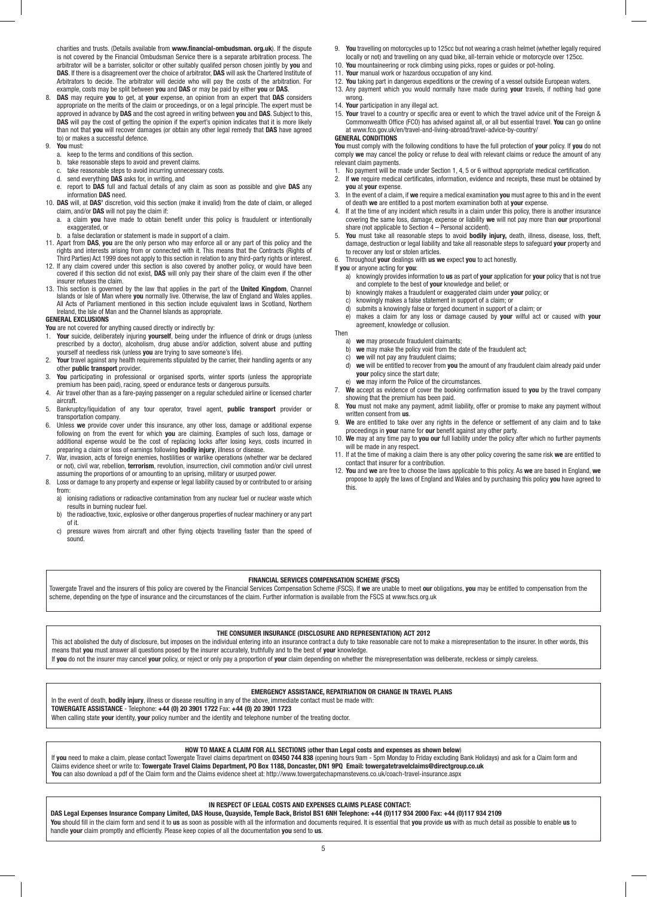charities and trusts. (Details available from **www.financial-ombudsman. org.uk**). If the dispute is not covered by the Financial Ombudsman Service there is a separate arbitration process. The arbitrator will be a barrister, solicitor or other suitably qualifed person chosen jointly by **you** and **DAS**. If there is a disagreement over the choice of arbitrator, **DAS** will ask the Chartered Institute of Arbitrators to decide. The arbitrator will decide who will pay the costs of the arbitration. For example, costs may be split between **you** and **DAS** or may be paid by either **you** or **DAS**.

8. **DAS** may require **you** to get, at **your** expense, an opinion from an expert that **DAS** considers appropriate on the merits of the claim or proceedings, or on a legal principle. The expert must be approved in advance by **DAS** and the cost agreed in writing between **you** and **DAS**. Subject to this, DAS will pay the cost of getting the opinion if the expert's opinion indicates that it is more likely than not that **you** will recover damages (or obtain any other legal remedy that **DAS** have agreed to) or makes a successful defence.

#### 9. **You** must:

- a. keep to the terms and conditions of this section.
- b. take reasonable steps to avoid and prevent claims.
- take reasonable steps to avoid incurring unnecessary costs.
- d. send everything **DAS** asks for, in writing, and
- e. report to **DAS** full and factual details of any claim as soon as possible and give **DAS** any information **DAS** need.
- 10. **DAS** will, at **DAS'** discretion, void this section (make it invalid) from the date of claim, or alleged claim, and/or **DAS** will not pay the claim if:
	- a. a claim **you** have made to obtain benefit under this policy is fraudulent or intentionally exaggerated or
- a false declaration or statement is made in support of a claim.
- 11. Apart from **DAS**, **you** are the only person who may enforce all or any part of this policy and the rights and interests arising from or connected with it. This means that the Contracts (Rights of Third Parties) Act 1999 does not apply to this section in relation to any third-party rights or interest.
- 12. If any claim covered under this section is also covered by another policy, or would have been covered if this section did not exist, **DAS** will only pay their share of the claim even if the other insurer refuses the claim.
- 13. This section is governed by the law that applies in the part of the **United Kingdom**, Channel Islands or Isle of Man where **you** normally live. Otherwise, the law of England and Wales applies. All Acts of Parliament mentioned in this section include equivalent laws in Scotland, Northern Ireland, the Isle of Man and the Channel Islands as appropriate.

#### **GENERAL EXCLUSIONS**

You are not covered for anything caused directly or indirectly by:

- 1. **Your** suicide, deliberately injuring **yourself**, being under the influence of drink or drugs (unless prescribed by a doctor), alcoholism, drug abuse and/or addiction, solvent abuse and putting yourself at needless risk (unless **you** are trying to save someone's life).
- Your travel against any health requirements stipulated by the carrier, their handling agents or any other **public transport** provider.
- 3. **You** participating in professional or organised sports, winter sports (unless the appropriate premium has been paid), racing, speed or endurance tests or dangerous pursuits.
- 4. Air travel other than as a fare-paying passenger on a regular scheduled airline or licensed charter aircraft.
- 5. Bankruptcy/liquidation of any tour operator, travel agent, **public transport** provider or transportation company.
- 6. Unless **we** provide cover under this insurance, any other loss, damage or additional expense following on from the event for which **you** are claiming. Examples of such loss, damage or additional expense would be the cost of replacing locks after losing keys, costs incurred in preparing a claim or loss of earnings following **bodily injury**, illness or disease.
- War, invasion, acts of foreign enemies, hostilities or warlike operations (whether war be declared or not), civil war, rebellion, **terrorism**, revolution, insurrection, civil commotion and/or civil unrest assuming the proportions of or amounting to an uprising, military or usurped power.
- 8. Loss or damage to any property and expense or legal liability caused by or contributed to or arising from:
	- a) ionising radiations or radioactive contamination from any nuclear fuel or nuclear waste which results in burning nuclear fuel.
	- b) the radioactive, toxic, explosive or other dangerous properties of nuclear machinery or any part  $\int$  of it.<br>c) pres
	- pressure waves from aircraft and other flying objects travelling faster than the speed of sound.
- 9. **You** travelling on motorcycles up to 125cc but not wearing a crash helmet (whether legally required locally or not) and travelling on any quad bike, all-terrain vehicle or motorcycle over 125cc.
- 10. **You** mountaineering or rock climbing using picks, ropes or guides or pot-holing.
- 11. **Your** manual work or hazardous occupation of any kind.
- 12. **You** taking part in dangerous expeditions or the crewing of a vessel outside European waters.
- 13. Any payment which you would normally have made during **your** travels, if nothing had gone wrong.
- 14. **Your** participation in any illegal act.
- 15. **Your** travel to a country or specific area or event to which the travel advice unit of the Foreign & Commonwealth Office (FCO) has advised against all, or all but essential travel. **You** can go online at www.fco.gov.uk/en/travel-and-living-abroad/travel-advice-by-country/ **GENERAL CONDITIONS**

**You** must comply with the following conditions to have the full protection of **your** policy. If **you** do not comply **we** may cancel the policy or refuse to deal with relevant claims or reduce the amount of any relevant claim payments.

- 1. No payment will be made under Section 1, 4, 5 or 6 without appropriate medical certification.
- 2. If **we** require medical certificates, information, evidence and receipts, these must be obtained by
- **you** at **your** expense. 3. In the event of a claim, if **we** require a medical examination **you** must agree to this and in the event of death **we** are entitled to a post mortem examination both at **your** expense.
- 4. If at the time of any incident which results in a claim under this policy, there is another insurance covering the same loss, damage, expense or liability **we** will not pay more than **our** proportional share (not applicable to Section 4 – Personal accident).
- 5. **You** must take all reasonable steps to avoid **bodily injury,** death, illness, disease, loss, theft, damage, destruction or legal liability and take all reasonable steps to safeguard **your** property and to recover any lost or stolen articles.
- 6. Throughout **your** dealings with **us we** expect **you** to act honestly.
- If **you** or anyone acting for **you**:
- a) knowingly provides information to **us** as part of **your** application for **your** policy that is not true and complete to the best of **your** knowledge and belief; or
	- b) knowingly makes a fraudulent or exaggerated claim under **your** policy; or
	- c) knowingly makes a false statement in support of a claim; or d) submits a knowingly false or forged document in support of
	- submits a knowingly false or forged document in support of a claim; or
	- e) makes a claim for any loss or damage caused by **your** wilful act or caused with **your** agreement, knowledge or collusion.
- Then a) **we** may prosecute fraudulent claimants;
	-
	- b) **we** may make the policy void from the date of the fraudulent act;<br>c) **we** will not pay any fraudulent claims: we will not pay any fraudulent claims;
	- d) **we** will be entitled to recover from **you** the amount of any fraudulent claim already paid under **your** policy since the start date;
	- e) **we** may inform the Police of the circumstances.
- 7. **We** accept as evidence of cover the booking confirmation issued to **you** by the travel company showing that the premium has been paid.
- 8. **You** must not make any payment, admit liability, offer or promise to make any payment without written consent from **us**.
- 9. **We** are entitled to take over any rights in the defence or settlement of any claim and to take proceedings in **your** name for **our** benefit against any other party.
- 10. **We** may at any time pay to **you our** full liability under the policy after which no further payments will be made in any respect.
- 11. If at the time of making a claim there is any other policy covering the same risk **we** are entitled to contact that insurer for a contribution.
- 12. **You** and **we** are free to choose the laws applicable to this policy. As **we** are based in England, **we** propose to apply the laws of England and Wales and by purchasing this policy **you** have agreed to this.

Towergate Travel and the insurers of this policy are covered by the Financial Services Compensation Scheme (FSCS). If **we** are unable to meet **our** obligations, **you** may be entitled to compensation from the scheme, depending on the type of insurance and the circumstances of the claim. Further information is available from the FSCS at www.fscs.org.uk

### **THE CONSUMER INSURANCE (DISCLOSURE AND REPRESENTATION) ACT 2012**

This act abolished the duty of disclosure, but imposes on the individual entering into an insurance contract a duty to take reasonable care not to make a misrepresentation to the insurer. In other words, this means that **you** must answer all questions posed by the insurer accurately, truthfully and to the best of **your** knowledge.

If **you** do not the insurer may cancel **your** policy, or reject or only pay a proportion of **your** claim depending on whether the misrepresentation was deliberate, reckless or simply careless.

# **EMERGENCY ASSISTANCE, REPATRIATION OR CHANGE IN TRAVEL PLANS**

In the event of death, **bodily injury**, illness or disease resulting in any of the above, immediate contact must be made with:

**TOWERGATE ASSISTANCE** - Telephone: **+44 (0) 20 3901 1722** Fax: **+44 (0) 20 3901 1723** When calling state **your** identity, **your** policy number and the identity and telephone number of the treating doctor.

# **HOW TO MAKE A CLAIM FOR ALL SECTIONS** (**other than Legal costs and expenses as shown below**)

If **you** need to make a claim, please contact Towergate Travel claims department on **03450 744 838** (opening hours 9am - 5pm Monday to Friday excluding Bank Holidays) and ask for a Claim form and Claims evidence sheet or write to: **Towergate Travel Claims Department, PO Box 1188, Doncaster, DN1 9PQ Email: towergatetravelclaims@directgroup.co.uk**

**You** can also download a pdf of the Claim form and the Claims evidence sheet at: http://www.towergatechapmanstevens.co.uk/coach-travel-insurance.aspx

# **IN RESPECT OF LEGAL COSTS AND EXPENSES CLAIMS PLEASE CONTACT:**

**DAS Legal Expenses Insurance Company Limited, DAS House, Quayside, Temple Back, Bristol BS1 6NH Telephone: +44 (0)117 934 2000 Fax: +44 (0)117 934 2109** You should fill in the claim form and send it to us as soon as possible with all the information and documents required. It is essential that you provide us with as much detail as possible to enable us to handle **your** claim promptly and efficiently. Please keep copies of all the documentation **you** send to **us**.

**FINANCIAL SERVICES COMPENSATION SCHEME (FSCS)**